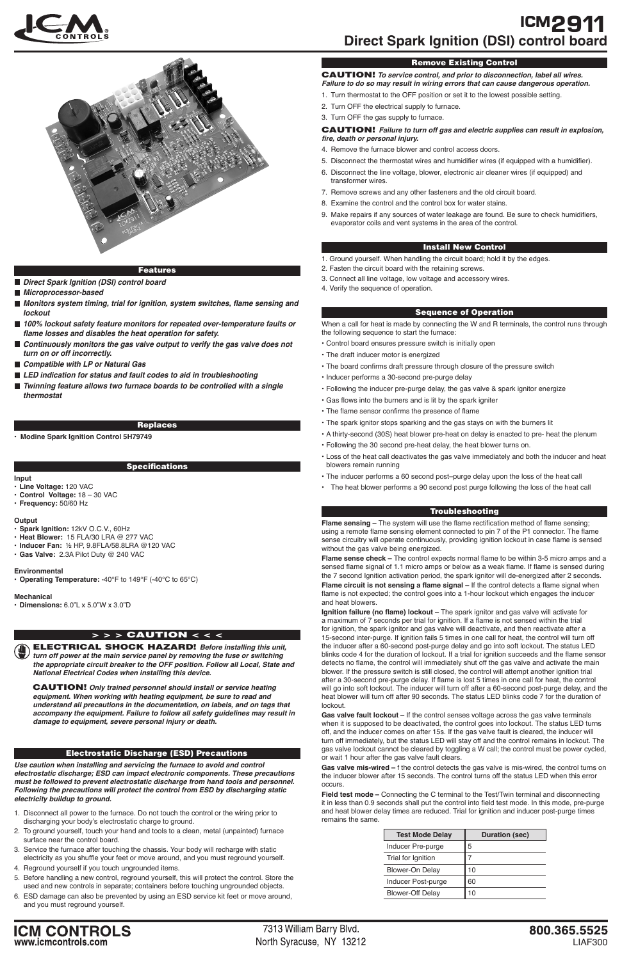LIAF300

800.365.5525

**ICM CONTROLS**<br>www.icmcontrols.com

7313 William Barry Blvd. North Syracuse, NY 13212





#### Features

- Direct Spark Ignition (DSI) control board
- **Microprocessor-based**
- **Monitors system timing, trial for ignition, system switches, flame sensing and lockout**
- 100% lockout safety feature monitors for repeated over-temperature faults or **flame losses and disables the heat operation for safety.**
- Continuously monitors the gas valve output to verify the gas valve does not **turn on or off incorrectly.**
- Compatible with LP or Natural Gas
- **LED indication for status and fault codes to aid in troubleshooting**
- Twinning feature allows two furnace boards to be controlled with a single **thermostat**

#### Replaces

• **Modine Spark Ignition Control 5H79749**

# **Specifications**

ELECTRICAL SHOCK HAZARD! **Before installing this unit, turn off power at the main service panel by removing the fuse or switching the appropriate circuit breaker to the OFF position. Follow all Local, State and National Electrical Codes when installing this device.**

CAUTION! **Only trained personnel should install or service heating equipment. When working with heating equipment, be sure to read and understand all precautions in the documentation, on labels, and on tags that accompany the equipment. Failure to follow all safety guidelines may result in damage to equipment, severe personal injury or death.**

# > > > CAUTION < < <

# Remove Existing Control

CAUTION! **To service control, and prior to disconnection, label all wires. Failure to do so may result in wiring errors that can cause dangerous operation.**

- 1. Turn thermostat to the OFF position or set it to the lowest possible setting.
- 2. Turn OFF the electrical supply to furnace.
- 3. Turn OFF the gas supply to furnace.

# CAUTION! **Failure to turn off gas and electric supplies can result in explosion, fire, death or personal injury.**

- 4. Remove the furnace blower and control access doors.
- 5. Disconnect the thermostat wires and humidifier wires (if equipped with a humidifier).
- 6. Disconnect the line voltage, blower, electronic air cleaner wires (if equipped) and transformer wires.
- 7. Remove screws and any other fasteners and the old circuit board.
- 8. Examine the control and the control box for water stains.
- 9. Make repairs if any sources of water leakage are found. Be sure to check humidifiers, evaporator coils and vent systems in the area of the control.

# **Install New Control**

- 1. Ground yourself. When handling the circuit board; hold it by the edges.
- 2. Fasten the circuit board with the retaining screws.
- 3. Connect all line voltage, low voltage and accessory wires.
- 4. Verify the sequence of operation.

### Sequence of Operation

When a call for heat is made by connecting the W and R terminals, the control runs through the following sequence to start the furnace:

- Control board ensures pressure switch is initially open
- The draft inducer motor is energized
- The board confirms draft pressure through closure of the pressure switch
- Inducer performs a 30-second pre-purge delay
- Following the inducer pre-purge delay, the gas valve & spark ignitor energize
- • Gas flows into the burners and is lit by the spark igniter
- The flame sensor confirms the presence of flame
- The spark ignitor stops sparking and the gas stays on with the burners lit
- • A thirty-second (30S) heat blower pre-heat on delay is enacted to pre- heat the plenum
- Following the 30 second pre-heat delay, the heat blower turns on.
- Loss of the heat call deactivates the gas valve immediately and both the inducer and heat blowers remain running
- The inducer performs a 60 second post–purge delay upon the loss of the heat call
- The heat blower performs a 90 second post purge following the loss of the heat call

**Ignition failure (no flame) lockout –** The spark ignitor and gas valve will activate for a maximum of 7 seconds per trial for ignition. If a flame is not sensed within the trial for ignition, the spark ignitor and gas valve will deactivate, and then reactivate after a 15-second inter-purge. If ignition fails 5 times in one call for heat, the control will turn off the inducer after a 60-second post-purge delay and go into soft lockout. The status LED blinks code 4 for the duration of lockout. If a trial for ignition succeeds and the flame sensor detects no flame, the control will immediately shut off the gas valve and activate the main blower. If the pressure switch is still closed, the control will attempt another ignition trial after a 30-second pre-purge delay. If flame is lost 5 times in one call for heat, the control will go into soft lockout. The inducer will turn off after a 60-second post-purge delay, and the heat blower will turn off after 90 seconds. The status LED blinks code 7 for the duration of

#### **Input**

- **Line Voltage:** 120 VAC
- **Control Voltage:** 18 30 VAC
- **Frequency:** 50/60 Hz

### **Output**

- **Spark Ignition:** 12kV O.C.V., 60Hz
- **Heat Blower:** 15 FLA/30 LRA @ 277 VAC
- **Inducer Fan:** ½ HP, 9.8FLA/58.8LRA @120 VAC
- **Gas Valve:** 2.3A Pilot Duty @ 240 VAC

### **Environmental**

• **Operating Temperature:** -40°F to 149°F (-40°C to 65°C)

### **Mechanical**

• **Dimensions:** 6.0"L x 5.0"W x 3.0"D

**Use caution when installing and servicing the furnace to avoid and control electrostatic discharge; ESD can impact electronic components. These precautions must be followed to prevent electrostatic discharge from hand tools and personnel. Following the precautions will protect the control from ESD by discharging static electricity buildup to ground.**

- 1. Disconnect all power to the furnace. Do not touch the control or the wiring prior to discharging your body's electrostatic charge to ground.
- 2. To ground yourself, touch your hand and tools to a clean, metal (unpainted) furnace surface near the control board.
- 3. Service the furnace after touching the chassis. Your body will recharge with static electricity as you shuffle your feet or move around, and you must reground yourself.
- 4. Reground yourself if you touch ungrounded items.
- 5. Before handling a new control, reground yourself, this will protect the control. Store the used and new controls in separate; containers before touching ungrounded objects.
- 6. ESD damage can also be prevented by using an ESD service kit feet or move around, and you must reground yourself.

# Electrostatic Discharge (ESD) Precautions

#### Troubleshooting

**Flame sensing –** The system will use the flame rectification method of flame sensing; using a remote flame sensing element connected to pin 7 of the P1 connector. The flame sense circuitry will operate continuously, providing ignition lockout in case flame is sensed without the gas valve being energized.

**Flame sense check –** The control expects normal flame to be within 3-5 micro amps and a sensed flame signal of 1.1 micro amps or below as a weak flame. If flame is sensed during the 7 second Ignition activation period, the spark ignitor will de-energized after 2 seconds. **Flame circuit is not sensing a flame signal –** If the control detects a flame signal when flame is not expected; the control goes into a 1-hour lockout which engages the inducer and heat blowers.

lockout.

**Gas valve fault lockout –** If the control senses voltage across the gas valve terminals when it is supposed to be deactivated, the control goes into lockout. The status LED turns off, and the inducer comes on after 15s. If the gas valve fault is cleared, the inducer will turn off immediately, but the status LED will stay off and the control remains in lockout. The gas valve lockout cannot be cleared by toggling a W call; the control must be power cycled, or wait 1 hour after the gas valve fault clears.

**Gas valve mis-wired –** f the control detects the gas valve is mis-wired, the control turns on the inducer blower after 15 seconds. The control turns off the status LED when this error occurs.

**Field test mode –** Connecting the C terminal to the Test/Twin terminal and disconnecting it in less than 0.9 seconds shall put the control into field test mode. In this mode, pre-purge and heat blower delay times are reduced. Trial for ignition and inducer post-purge times remains the same.

| <b>Test Mode Delay</b>  | <b>Duration (sec)</b> |
|-------------------------|-----------------------|
| Inducer Pre-purge       | 5                     |
| Trial for Ignition      |                       |
| Blower-On Delay         | 10                    |
| Inducer Post-purge      | 60                    |
| <b>Blower-Off Delay</b> | 10                    |